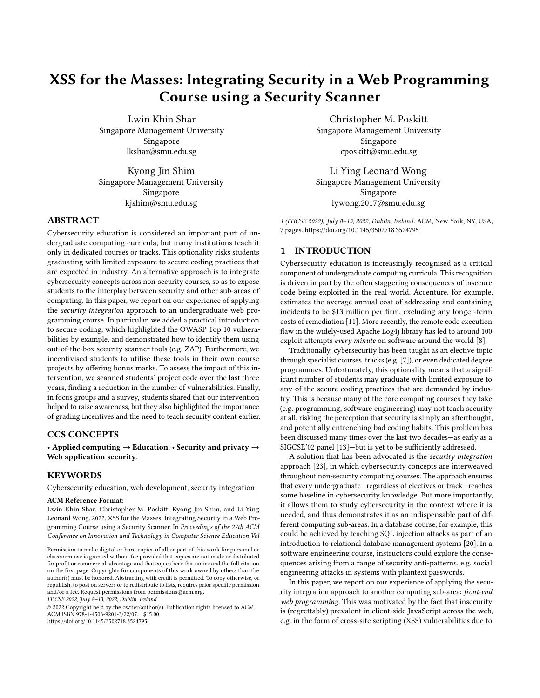# XSS for the Masses: Integrating Security in a Web Programming Course using a Security Scanner

[Lwin Khin Shar](https://orcid.org/0000-0001-5130-0407) Singapore Management University Singapore lkshar@smu.edu.sg

[Kyong Jin Shim](https://orcid.org/0000-0002-1978-5384) Singapore Management University Singapore kjshim@smu.edu.sg

# ABSTRACT

Cybersecurity education is considered an important part of undergraduate computing curricula, but many institutions teach it only in dedicated courses or tracks. This optionality risks students graduating with limited exposure to secure coding practices that are expected in industry. An alternative approach is to integrate cybersecurity concepts across non-security courses, so as to expose students to the interplay between security and other sub-areas of computing. In this paper, we report on our experience of applying the security integration approach to an undergraduate web programming course. In particular, we added a practical introduction to secure coding, which highlighted the OWASP Top 10 vulnerabilities by example, and demonstrated how to identify them using out-of-the-box security scanner tools (e.g. ZAP). Furthermore, we incentivised students to utilise these tools in their own course projects by offering bonus marks. To assess the impact of this intervention, we scanned students' project code over the last three years, finding a reduction in the number of vulnerabilities. Finally, in focus groups and a survey, students shared that our intervention helped to raise awareness, but they also highlighted the importance of grading incentives and the need to teach security content earlier.

## CCS CONCEPTS

• Applied computing  $\rightarrow$  Education; • Security and privacy  $\rightarrow$ Web application security.

# KEYWORDS

Cybersecurity education, web development, security integration

#### ACM Reference Format:

Lwin Khin Shar, Christopher M. Poskitt, Kyong Jin Shim, and Li Ying Leonard Wong. 2022. XSS for the Masses: Integrating Security in a Web Programming Course using a Security Scanner. In Proceedings of the 27th ACM Conference on Innovation and Technology in Computer Science Education Vol

ITiCSE 2022, July 8–13, 2022, Dublin, Ireland

© 2022 Copyright held by the owner/author(s). Publication rights licensed to ACM. ACM ISBN 978-1-4503-9201-3/22/07. . . \$15.00 <https://doi.org/10.1145/3502718.3524795>

[Christopher M. Poskitt](https://orcid.org/0000-0002-9376-2471) Singapore Management University Singapore cposkitt@smu.edu.sg

[Li Ying Leonard Wong](https://orcid.org/0000-0003-3250-3932) Singapore Management University Singapore lywong.2017@smu.edu.sg

1 (ITiCSE 2022), July 8–13, 2022, Dublin, Ireland. ACM, New York, NY, USA, [7](#page-6-0) pages.<https://doi.org/10.1145/3502718.3524795>

#### 1 INTRODUCTION

Cybersecurity education is increasingly recognised as a critical component of undergraduate computing curricula. This recognition is driven in part by the often staggering consequences of insecure code being exploited in the real world. Accenture, for example, estimates the average annual cost of addressing and containing incidents to be \$13 million per firm, excluding any longer-term costs of remediation [\[11\]](#page-6-1). More recently, the remote code execution flaw in the widely-used Apache Log4j library has led to around 100 exploit attempts every minute on software around the world [\[8\]](#page-6-2).

Traditionally, cybersecurity has been taught as an elective topic through specialist courses, tracks (e.g. [\[7\]](#page-6-3)), or even dedicated degree programmes. Unfortunately, this optionality means that a significant number of students may graduate with limited exposure to any of the secure coding practices that are demanded by industry. This is because many of the core computing courses they take (e.g. programming, software engineering) may not teach security at all, risking the perception that security is simply an afterthought, and potentially entrenching bad coding habits. This problem has been discussed many times over the last two decades—as early as a SIGCSE'02 panel [\[13\]](#page-6-4)—but is yet to be sufficiently addressed.

A solution that has been advocated is the security integration approach [\[23\]](#page-6-5), in which cybersecurity concepts are interweaved throughout non-security computing courses. The approach ensures that every undergraduate—regardless of electives or track—reaches some baseline in cybersecurity knowledge. But more importantly, it allows them to study cybersecurity in the context where it is needed, and thus demonstrates it as an indispensable part of different computing sub-areas. In a database course, for example, this could be achieved by teaching SQL injection attacks as part of an introduction to relational database management systems [\[20\]](#page-6-6). In a software engineering course, instructors could explore the consequences arising from a range of security anti-patterns, e.g. social engineering attacks in systems with plaintext passwords.

In this paper, we report on our experience of applying the security integration approach to another computing sub-area: front-end web programming. This was motivated by the fact that insecurity is (regrettably) prevalent in client-side JavaScript across the web, e.g. in the form of cross-site scripting (XSS) vulnerabilities due to

Permission to make digital or hard copies of all or part of this work for personal or classroom use is granted without fee provided that copies are not made or distributed for profit or commercial advantage and that copies bear this notice and the full citation on the first page. Copyrights for components of this work owned by others than the author(s) must be honored. Abstracting with credit is permitted. To copy otherwise, or republish, to post on servers or to redistribute to lists, requires prior specific permission and/or a fee. Request permissions from permissions@acm.org.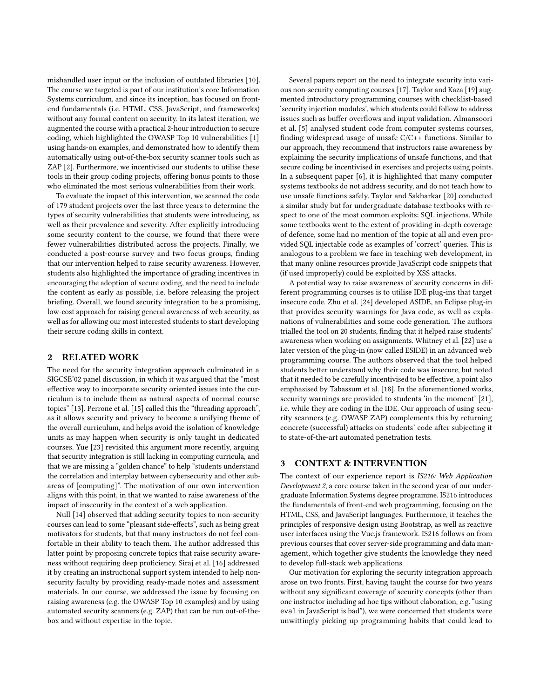mishandled user input or the inclusion of outdated libraries [\[10\]](#page-6-7). The course we targeted is part of our institution's core Information Systems curriculum, and since its inception, has focused on frontend fundamentals (i.e. HTML, CSS, JavaScript, and frameworks) without any formal content on security. In its latest iteration, we augmented the course with a practical 2-hour introduction to secure coding, which highlighted the OWASP Top 10 vulnerabilities [\[1\]](#page-6-8) using hands-on examples, and demonstrated how to identify them automatically using out-of-the-box security scanner tools such as ZAP [\[2\]](#page-6-9). Furthermore, we incentivised our students to utilise these tools in their group coding projects, offering bonus points to those who eliminated the most serious vulnerabilities from their work.

To evaluate the impact of this intervention, we scanned the code of 179 student projects over the last three years to determine the types of security vulnerabilities that students were introducing, as well as their prevalence and severity. After explicitly introducing some security content to the course, we found that there were fewer vulnerabilities distributed across the projects. Finally, we conducted a post-course survey and two focus groups, finding that our intervention helped to raise security awareness. However, students also highlighted the importance of grading incentives in encouraging the adoption of secure coding, and the need to include the content as early as possible, i.e. before releasing the project briefing. Overall, we found security integration to be a promising, low-cost approach for raising general awareness of web security, as well as for allowing our most interested students to start developing their secure coding skills in context.

# 2 RELATED WORK

The need for the security integration approach culminated in a SIGCSE'02 panel discussion, in which it was argued that the "most effective way to incorporate security oriented issues into the curriculum is to include them as natural aspects of normal course topics" [\[13\]](#page-6-4). Perrone et al. [\[15\]](#page-6-10) called this the "threading approach", as it allows security and privacy to become a unifying theme of the overall curriculum, and helps avoid the isolation of knowledge units as may happen when security is only taught in dedicated courses. Yue [\[23\]](#page-6-5) revisited this argument more recently, arguing that security integration is still lacking in computing curricula, and that we are missing a "golden chance" to help "students understand the correlation and interplay between cybersecurity and other subareas of [computing]". The motivation of our own intervention aligns with this point, in that we wanted to raise awareness of the impact of insecurity in the context of a web application.

Null [\[14\]](#page-6-11) observed that adding security topics to non-security courses can lead to some "pleasant side-effects", such as being great motivators for students, but that many instructors do not feel comfortable in their ability to teach them. The author addressed this latter point by proposing concrete topics that raise security awareness without requiring deep proficiency. Siraj et al. [\[16\]](#page-6-12) addressed it by creating an instructional support system intended to help nonsecurity faculty by providing ready-made notes and assessment materials. In our course, we addressed the issue by focusing on raising awareness (e.g. the OWASP Top 10 examples) and by using automated security scanners (e.g. ZAP) that can be run out-of-thebox and without expertise in the topic.

Several papers report on the need to integrate security into various non-security computing courses [\[17\]](#page-6-13). Taylor and Kaza [\[19\]](#page-6-14) augmented introductory programming courses with checklist-based 'security injection modules', which students could follow to address issues such as buffer overflows and input validation. Almansoori et al. [\[5\]](#page-6-15) analysed student code from computer systems courses, finding widespread usage of unsafe C/C++ functions. Similar to our approach, they recommend that instructors raise awareness by explaining the security implications of unsafe functions, and that secure coding be incentivised in exercises and projects using points. In a subsequent paper [\[6\]](#page-6-16), it is highlighted that many computer systems textbooks do not address security, and do not teach how to use unsafe functions safely. Taylor and Sakharkar [\[20\]](#page-6-6) conducted a similar study but for undergraduate database textbooks with respect to one of the most common exploits: SQL injections. While some textbooks went to the extent of providing in-depth coverage of defence, some had no mention of the topic at all and even provided SQL injectable code as examples of 'correct' queries. This is analogous to a problem we face in teaching web development, in that many online resources provide JavaScript code snippets that (if used improperly) could be exploited by XSS attacks.

A potential way to raise awareness of security concerns in different programming courses is to utilise IDE plug-ins that target insecure code. Zhu et al. [\[24\]](#page-6-17) developed ASIDE, an Eclipse plug-in that provides security warnings for Java code, as well as explanations of vulnerabilities and some code generation. The authors trialled the tool on 20 students, finding that it helped raise students' awareness when working on assignments. Whitney et al. [\[22\]](#page-6-18) use a later version of the plug-in (now called ESIDE) in an advanced web programming course. The authors observed that the tool helped students better understand why their code was insecure, but noted that it needed to be carefully incentivised to be effective, a point also emphasised by Tabassum et al. [\[18\]](#page-6-19). In the aforementioned works, security warnings are provided to students 'in the moment' [\[21\]](#page-6-20), i.e. while they are coding in the IDE. Our approach of using security scanners (e.g. OWASP ZAP) complements this by returning concrete (successful) attacks on students' code after subjecting it to state-of-the-art automated penetration tests.

# 3 CONTEXT & INTERVENTION

The context of our experience report is IS216: Web Application Development 2, a core course taken in the second year of our undergraduate Information Systems degree programme. IS216 introduces the fundamentals of front-end web programming, focusing on the HTML, CSS, and JavaScript languages. Furthermore, it teaches the principles of responsive design using Bootstrap, as well as reactive user interfaces using the Vue.js framework. IS216 follows on from previous courses that cover server-side programming and data management, which together give students the knowledge they need to develop full-stack web applications.

Our motivation for exploring the security integration approach arose on two fronts. First, having taught the course for two years without any significant coverage of security concepts (other than one instructor including ad hoc tips without elaboration, e.g. "using eval in JavaScript is bad"), we were concerned that students were unwittingly picking up programming habits that could lead to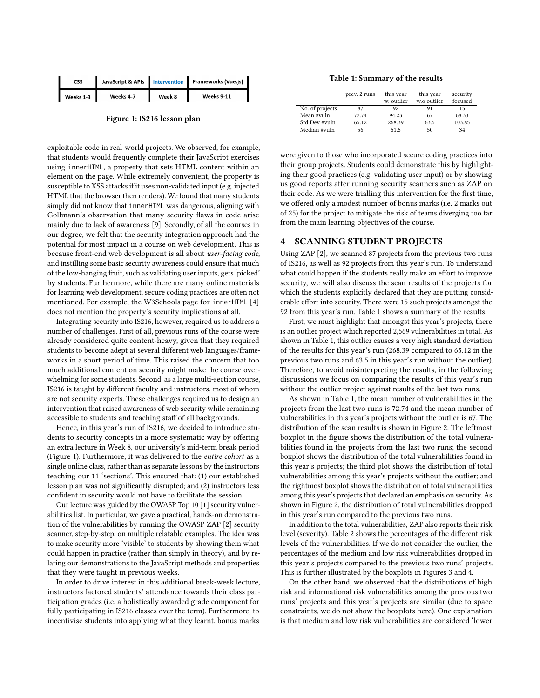<span id="page-2-0"></span>

| <b>CSS</b> |           |        | JavaScript & APIs   Intervention   Frameworks (Vue.js) |
|------------|-----------|--------|--------------------------------------------------------|
| Weeks 1-3  | Weeks 4-7 | Week 8 | Weeks 9-11                                             |

Figure 1: IS216 lesson plan

exploitable code in real-world projects. We observed, for example, that students would frequently complete their JavaScript exercises using innerHTML, a property that sets HTML content within an element on the page. While extremely convenient, the property is susceptible to XSS attacks if it uses non-validated input (e.g. injected HTML that the browser then renders). We found that many students simply did not know that innerHTML was dangerous, aligning with Gollmann's observation that many security flaws in code arise mainly due to lack of awareness [\[9\]](#page-6-21). Secondly, of all the courses in our degree, we felt that the security integration approach had the potential for most impact in a course on web development. This is because front-end web development is all about user-facing code, and instilling some basic security awareness could ensure that much of the low-hanging fruit, such as validating user inputs, gets 'picked' by students. Furthermore, while there are many online materials for learning web development, secure coding practices are often not mentioned. For example, the W3Schools page for innerHTML [\[4\]](#page-6-22) does not mention the property's security implications at all.

Integrating security into IS216, however, required us to address a number of challenges. First of all, previous runs of the course were already considered quite content-heavy, given that they required students to become adept at several different web languages/frameworks in a short period of time. This raised the concern that too much additional content on security might make the course overwhelming for some students. Second, as a large multi-section course, IS216 is taught by different faculty and instructors, most of whom are not security experts. These challenges required us to design an intervention that raised awareness of web security while remaining accessible to students and teaching staff of all backgrounds.

Hence, in this year's run of IS216, we decided to introduce students to security concepts in a more systematic way by offering an extra lecture in Week 8, our university's mid-term break period (Figure [1\)](#page-2-0). Furthermore, it was delivered to the entire cohort as a single online class, rather than as separate lessons by the instructors teaching our 11 'sections'. This ensured that: (1) our established lesson plan was not significantly disrupted; and (2) instructors less confident in security would not have to facilitate the session.

Our lecture was guided by the OWASP Top 10 [\[1\]](#page-6-8) security vulnerabilities list. In particular, we gave a practical, hands-on demonstration of the vulnerabilities by running the OWASP ZAP [\[2\]](#page-6-9) security scanner, step-by-step, on multiple relatable examples. The idea was to make security more 'visible' to students by showing them what could happen in practice (rather than simply in theory), and by relating our demonstrations to the JavaScript methods and properties that they were taught in previous weeks.

In order to drive interest in this additional break-week lecture, instructors factored students' attendance towards their class participation grades (i.e. a holistically awarded grade component for fully participating in IS216 classes over the term). Furthermore, to incentivise students into applying what they learnt, bonus marks

#### Table 1: Summary of the results

<span id="page-2-1"></span>

|                 | prev. 2 runs | this year<br>w. outlier | this year<br>w.o outlier | security<br>focused |
|-----------------|--------------|-------------------------|--------------------------|---------------------|
| No. of projects | 87           | 92                      | 91                       | 15                  |
| Mean #vuln      | 72.74        | 94.23                   | 67                       | 68.33               |
| Std Dev #vuln   | 65.12        | 268.39                  | 63.5                     | 103.85              |
| Median #vuln    | 56           | 51.5                    | 50                       | 34                  |

were given to those who incorporated secure coding practices into their group projects. Students could demonstrate this by highlighting their good practices (e.g. validating user input) or by showing us good reports after running security scanners such as ZAP on their code. As we were trialling this intervention for the first time, we offered only a modest number of bonus marks (i.e. 2 marks out of 25) for the project to mitigate the risk of teams diverging too far from the main learning objectives of the course.

## **SCANNING STUDENT PROJECTS**

Using ZAP [\[2\]](#page-6-9), we scanned 87 projects from the previous two runs of IS216, as well as 92 projects from this year's run. To understand what could happen if the students really make an effort to improve security, we will also discuss the scan results of the projects for which the students explicitly declared that they are putting considerable effort into security. There were 15 such projects amongst the 92 from this year's run. Table [1](#page-2-1) shows a summary of the results.

First, we must highlight that amongst this year's projects, there is an outlier project which reported 2,569 vulnerabilities in total. As shown in Table [1,](#page-2-1) this outlier causes a very high standard deviation of the results for this year's run (268.39 compared to 65.12 in the previous two runs and 63.5 in this year's run without the outlier). Therefore, to avoid misinterpreting the results, in the following discussions we focus on comparing the results of this year's run without the outlier project against results of the last two runs.

As shown in Table [1,](#page-2-1) the mean number of vulnerabilities in the projects from the last two runs is 72.74 and the mean number of vulnerabilities in this year's projects without the outlier is 67. The distribution of the scan results is shown in Figure [2.](#page-3-0) The leftmost boxplot in the figure shows the distribution of the total vulnerabilities found in the projects from the last two runs; the second boxplot shows the distribution of the total vulnerabilities found in this year's projects; the third plot shows the distribution of total vulnerabilities among this year's projects without the outlier; and the rightmost boxplot shows the distribution of total vulnerabilities among this year's projects that declared an emphasis on security. As shown in Figure [2,](#page-3-0) the distribution of total vulnerabilities dropped in this year's run compared to the previous two runs.

In addition to the total vulnerabilities, ZAP also reports their risk level (severity). Table [2](#page-3-1) shows the percentages of the different risk levels of the vulnerabilities. If we do not consider the outlier, the percentages of the medium and low risk vulnerabilities dropped in this year's projects compared to the previous two runs' projects. This is further illustrated by the boxplots in Figures [3](#page-3-2) and [4.](#page-3-3)

On the other hand, we observed that the distributions of high risk and informational risk vulnerabilities among the previous two runs' projects and this year's projects are similar (due to space constraints, we do not show the boxplots here). One explanation is that medium and low risk vulnerabilities are considered 'lower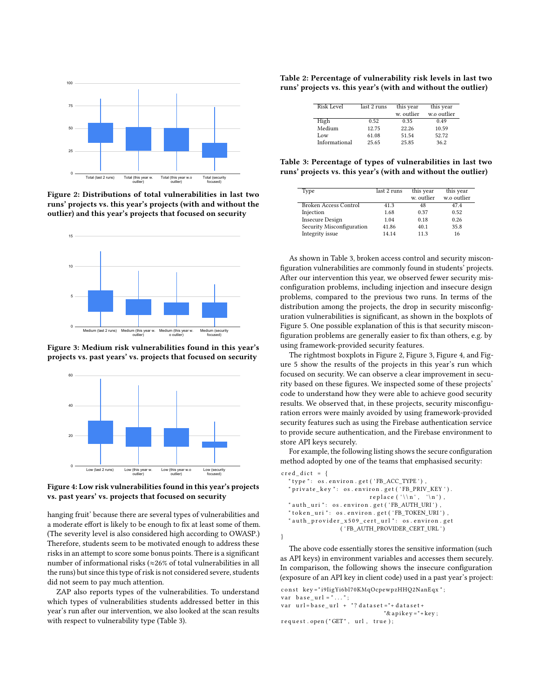<span id="page-3-0"></span>

Figure 2: Distributions of total vulnerabilities in last two runs' projects vs. this year's projects (with and without the outlier) and this year's projects that focused on security

<span id="page-3-2"></span>

Figure 3: Medium risk vulnerabilities found in this year's projects vs. past years' vs. projects that focused on security

<span id="page-3-3"></span>

Figure 4: Low risk vulnerabilities found in this year's projects vs. past years' vs. projects that focused on security

hanging fruit' because there are several types of vulnerabilities and a moderate effort is likely to be enough to fix at least some of them. (The severity level is also considered high according to OWASP.) Therefore, students seem to be motivated enough to address these risks in an attempt to score some bonus points. There is a significant number of informational risks (≈26% of total vulnerabilities in all the runs) but since this type of risk is not considered severe, students did not seem to pay much attention.

ZAP also reports types of the vulnerabilities. To understand which types of vulnerabilities students addressed better in this year's run after our intervention, we also looked at the scan results with respect to vulnerability type (Table [3\)](#page-3-4).

<span id="page-3-1"></span>Table 2: Percentage of vulnerability risk levels in last two runs' projects vs. this year's (with and without the outlier)

| Risk Level    | last 2 runs | this year  | this year   |
|---------------|-------------|------------|-------------|
|               |             | w. outlier | w.o outlier |
| High          | 0.52        | 0.35       | 0.49        |
| Medium        | 12.75       | 22.26      | 10.59       |
| Low           | 61.08       | 51.54      | 52.72       |
| Informational | 25.65       | 25.85      | 36.2        |

<span id="page-3-4"></span>Table 3: Percentage of types of vulnerabilities in last two runs' projects vs. this year's (with and without the outlier)

| Type                      | last 2 runs | this year  | this year   |
|---------------------------|-------------|------------|-------------|
|                           |             | w. outlier | w.o outlier |
| Broken Access Control     | 41.3        | 48         | 47.4        |
| Injection                 | 1.68        | 0.37       | 0.52        |
| <b>Insecure Design</b>    | 1.04        | 0.18       | 0.26        |
| Security Misconfiguration | 41.86       | 40.1       | 35.8        |
| Integrity issue           | 14.14       | 113        | 16          |

As shown in Table [3,](#page-3-4) broken access control and security misconfiguration vulnerabilities are commonly found in students' projects. After our intervention this year, we observed fewer security misconfiguration problems, including injection and insecure design problems, compared to the previous two runs. In terms of the distribution among the projects, the drop in security misconfiguration vulnerabilities is significant, as shown in the boxplots of Figure [5.](#page-4-0) One possible explanation of this is that security misconfiguration problems are generally easier to fix than others, e.g. by using framework-provided security features.

The rightmost boxplots in Figure [2,](#page-3-0) Figure [3,](#page-3-2) Figure [4,](#page-3-3) and Figure [5](#page-4-0) show the results of the projects in this year's run which focused on security. We can observe a clear improvement in security based on these figures. We inspected some of these projects' code to understand how they were able to achieve good security results. We observed that, in these projects, security misconfiguration errors were mainly avoided by using framework-provided security features such as using the Firebase authentication service to provide secure authentication, and the Firebase environment to store API keys securely.

For example, the following listing shows the secure configuration method adopted by one of the teams that emphasised security:

```
cred dict = \{" type ": os.environ.get ('FB_ACC_TYPE'),
  " private_key ": os.environ.get ('FB_PRIV_KEY').
                           r e p l a c e ( '\ln' , '\ln' ) ,
  "auth\_uri" \colon os. environ.get('FB\_AUTH_URI') ,
  " token_uri ": os.environ.get ('FB_TOKEN_URI'),
  " auth_provider_x509_cert_url ": os.environ.get
                  ( ' FB_AUTH_PROVIDER_CERT_URL ' )
}
```
The above code essentially stores the sensitive information (such as API keys) in environment variables and accesses them securely. In comparison, the following shows the insecure configuration (exposure of an API key in client code) used in a past year's project: const key="i9IigYi6bl70KMqOcpewpzHHQ2NanEqx";

```
var base\_url = " \dots " ;var url = base\_url + "? data set = " + dataset +"& apikey ="+key;
request.open ("GET", url, true);
```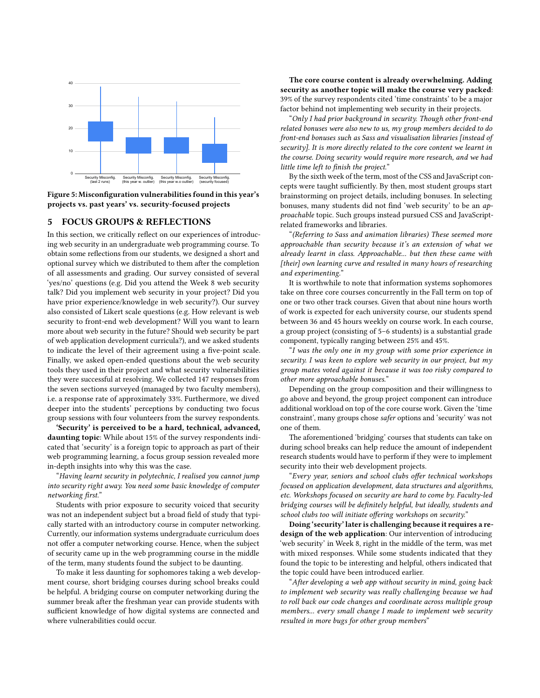<span id="page-4-0"></span>

Figure 5: Misconfiguration vulnerabilities found in this year's projects vs. past years' vs. security-focused projects

#### 5 FOCUS GROUPS & REFLECTIONS

In this section, we critically reflect on our experiences of introducing web security in an undergraduate web programming course. To obtain some reflections from our students, we designed a short and optional survey which we distributed to them after the completion of all assessments and grading. Our survey consisted of several 'yes/no' questions (e.g. Did you attend the Week 8 web security talk? Did you implement web security in your project? Did you have prior experience/knowledge in web security?). Our survey also consisted of Likert scale questions (e.g. How relevant is web security to front-end web development? Will you want to learn more about web security in the future? Should web security be part of web application development curricula?), and we asked students to indicate the level of their agreement using a five-point scale. Finally, we asked open-ended questions about the web security tools they used in their project and what security vulnerabilities they were successful at resolving. We collected 147 responses from the seven sections surveyed (managed by two faculty members), i.e. a response rate of approximately 33%. Furthermore, we dived deeper into the students' perceptions by conducting two focus group sessions with four volunteers from the survey respondents.

'Security' is perceived to be a hard, technical, advanced, daunting topic: While about 15% of the survey respondents indicated that 'security' is a foreign topic to approach as part of their web programming learning, a focus group session revealed more in-depth insights into why this was the case.

"Having learnt security in polytechnic, I realised you cannot jump into security right away. You need some basic knowledge of computer networking first."

Students with prior exposure to security voiced that security was not an independent subject but a broad field of study that typically started with an introductory course in computer networking. Currently, our information systems undergraduate curriculum does not offer a computer networking course. Hence, when the subject of security came up in the web programming course in the middle of the term, many students found the subject to be daunting.

To make it less daunting for sophomores taking a web development course, short bridging courses during school breaks could be helpful. A bridging course on computer networking during the summer break after the freshman year can provide students with sufficient knowledge of how digital systems are connected and where vulnerabilities could occur.

The core course content is already overwhelming. Adding security as another topic will make the course very packed: 39% of the survey respondents cited 'time constraints' to be a major factor behind not implementing web security in their projects.

"Only I had prior background in security. Though other front-end related bonuses were also new to us, my group members decided to do front-end bonuses such as Sass and visualisation libraries [instead of security]. It is more directly related to the core content we learnt in the course. Doing security would require more research, and we had little time left to finish the project."

By the sixth week of the term, most of the CSS and JavaScript concepts were taught sufficiently. By then, most student groups start brainstorming on project details, including bonuses. In selecting bonuses, many students did not find 'web security' to be an approachable topic. Such groups instead pursued CSS and JavaScriptrelated frameworks and libraries.

"(Referring to Sass and animation libraries) These seemed more approachable than security because it's an extension of what we already learnt in class. Approachable... but then these came with [their] own learning curve and resulted in many hours of researching and experimenting."

It is worthwhile to note that information systems sophomores take on three core courses concurrently in the Fall term on top of one or two other track courses. Given that about nine hours worth of work is expected for each university course, our students spend between 36 and 45 hours weekly on course work. In each course, a group project (consisting of 5–6 students) is a substantial grade component, typically ranging between 25% and 45%.

"I was the only one in my group with some prior experience in security. I was keen to explore web security in our project, but my group mates voted against it because it was too risky compared to other more approachable bonuses."

Depending on the group composition and their willingness to go above and beyond, the group project component can introduce additional workload on top of the core course work. Given the 'time constraint', many groups chose safer options and 'security' was not one of them.

The aforementioned 'bridging' courses that students can take on during school breaks can help reduce the amount of independent research students would have to perform if they were to implement security into their web development projects.

"Every year, seniors and school clubs offer technical workshops focused on application development, data structures and algorithms, etc. Workshops focused on security are hard to come by. Faculty-led bridging courses will be definitely helpful, but ideally, students and school clubs too will initiate offering workshops on security."

Doing 'security' later is challenging because it requires a redesign of the web application: Our intervention of introducing 'web security' in Week 8, right in the middle of the term, was met with mixed responses. While some students indicated that they found the topic to be interesting and helpful, others indicated that the topic could have been introduced earlier.

"After developing a web app without security in mind, going back to implement web security was really challenging because we had to roll back our code changes and coordinate across multiple group members... every small change I made to implement web security resulted in more bugs for other group members"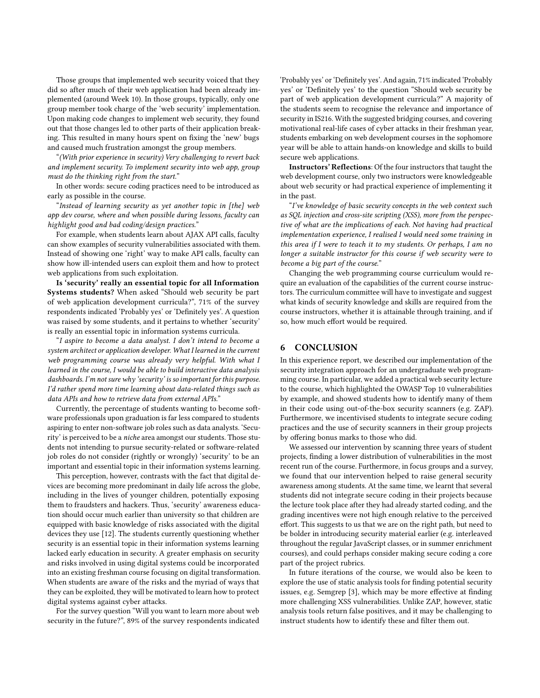Those groups that implemented web security voiced that they did so after much of their web application had been already implemented (around Week 10). In those groups, typically, only one group member took charge of the 'web security' implementation. Upon making code changes to implement web security, they found out that those changes led to other parts of their application breaking. This resulted in many hours spent on fixing the 'new' bugs and caused much frustration amongst the group members.

"(With prior experience in security) Very challenging to revert back and implement security. To implement security into web app, group must do the thinking right from the start."

In other words: secure coding practices need to be introduced as early as possible in the course.

"Instead of learning security as yet another topic in [the] web app dev course, where and when possible during lessons, faculty can highlight good and bad coding/design practices."

For example, when students learn about AJAX API calls, faculty can show examples of security vulnerabilities associated with them. Instead of showing one 'right' way to make API calls, faculty can show how ill-intended users can exploit them and how to protect web applications from such exploitation.

Is 'security' really an essential topic for all Information Systems students? When asked "Should web security be part of web application development curricula?", 71% of the survey respondents indicated 'Probably yes' or 'Definitely yes'. A question was raised by some students, and it pertains to whether 'security' is really an essential topic in information systems curricula.

"I aspire to become a data analyst. I don't intend to become a system architect or application developer. What I learned in the current web programming course was already very helpful. With what I learned in the course, I would be able to build interactive data analysis dashboards. I'm not sure why 'security' is so important for this purpose. I'd rather spend more time learning about data-related things such as data APIs and how to retrieve data from external APIs."

Currently, the percentage of students wanting to become software professionals upon graduation is far less compared to students aspiring to enter non-software job roles such as data analysts. 'Security' is perceived to be a niche area amongst our students. Those students not intending to pursue security-related or software-related job roles do not consider (rightly or wrongly) 'security' to be an important and essential topic in their information systems learning.

This perception, however, contrasts with the fact that digital devices are becoming more predominant in daily life across the globe, including in the lives of younger children, potentially exposing them to fraudsters and hackers. Thus, 'security' awareness education should occur much earlier than university so that children are equipped with basic knowledge of risks associated with the digital devices they use [\[12\]](#page-6-23). The students currently questioning whether security is an essential topic in their information systems learning lacked early education in security. A greater emphasis on security and risks involved in using digital systems could be incorporated into an existing freshman course focusing on digital transformation. When students are aware of the risks and the myriad of ways that they can be exploited, they will be motivated to learn how to protect digital systems against cyber attacks.

For the survey question "Will you want to learn more about web security in the future?", 89% of the survey respondents indicated 'Probably yes' or 'Definitely yes'. And again, 71% indicated 'Probably yes' or 'Definitely yes' to the question "Should web security be part of web application development curricula?" A majority of the students seem to recognise the relevance and importance of security in IS216. With the suggested bridging courses, and covering motivational real-life cases of cyber attacks in their freshman year, students embarking on web development courses in the sophomore year will be able to attain hands-on knowledge and skills to build secure web applications.

Instructors' Reflections: Of the four instructors that taught the web development course, only two instructors were knowledgeable about web security or had practical experience of implementing it in the past.

"I've knowledge of basic security concepts in the web context such as SQL injection and cross-site scripting (XSS), more from the perspective of what are the implications of each. Not having had practical implementation experience, I realised I would need some training in this area if I were to teach it to my students. Or perhaps, I am no longer a suitable instructor for this course if web security were to become a big part of the course."

Changing the web programming course curriculum would require an evaluation of the capabilities of the current course instructors. The curriculum committee will have to investigate and suggest what kinds of security knowledge and skills are required from the course instructors, whether it is attainable through training, and if so, how much effort would be required.

# 6 CONCLUSION

In this experience report, we described our implementation of the security integration approach for an undergraduate web programming course. In particular, we added a practical web security lecture to the course, which highlighted the OWASP Top 10 vulnerabilities by example, and showed students how to identify many of them in their code using out-of-the-box security scanners (e.g. ZAP). Furthermore, we incentivised students to integrate secure coding practices and the use of security scanners in their group projects by offering bonus marks to those who did.

We assessed our intervention by scanning three years of student projects, finding a lower distribution of vulnerabilities in the most recent run of the course. Furthermore, in focus groups and a survey, we found that our intervention helped to raise general security awareness among students. At the same time, we learnt that several students did not integrate secure coding in their projects because the lecture took place after they had already started coding, and the grading incentives were not high enough relative to the perceived effort. This suggests to us that we are on the right path, but need to be bolder in introducing security material earlier (e.g. interleaved throughout the regular JavaScript classes, or in summer enrichment courses), and could perhaps consider making secure coding a core part of the project rubrics.

In future iterations of the course, we would also be keen to explore the use of static analysis tools for finding potential security issues, e.g. Semgrep [\[3\]](#page-6-24), which may be more effective at finding more challenging XSS vulnerabilities. Unlike ZAP, however, static analysis tools return false positives, and it may be challenging to instruct students how to identify these and filter them out.